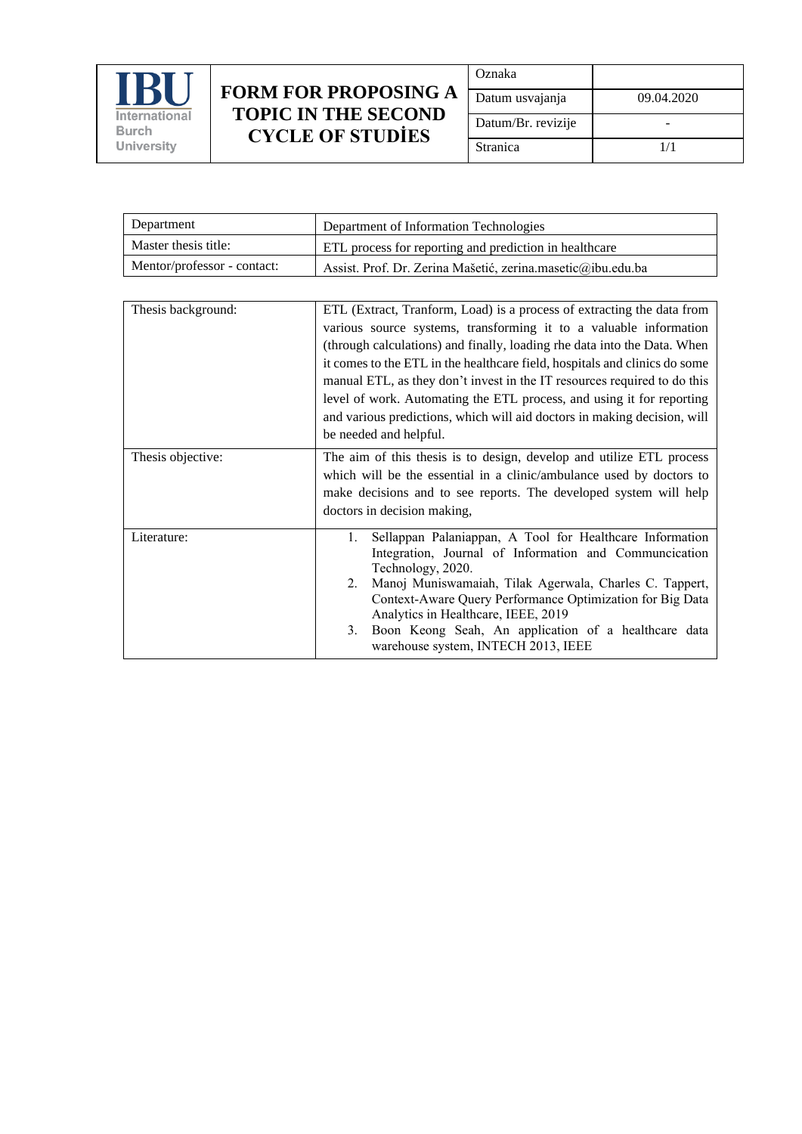

| Oznaka             |            |
|--------------------|------------|
| Datum usvajanja    | 09.04.2020 |
| Datum/Br. revizije |            |
| Stranica           | 1/1        |

| Department                  | Department of Information Technologies                      |
|-----------------------------|-------------------------------------------------------------|
| Master thesis title:        | ETL process for reporting and prediction in healthcare      |
| Mentor/professor - contact: | Assist. Prof. Dr. Zerina Mašetić, zerina.masetic@ibu.edu.ba |

| Thesis background: | ETL (Extract, Tranform, Load) is a process of extracting the data from                         |
|--------------------|------------------------------------------------------------------------------------------------|
|                    | various source systems, transforming it to a valuable information                              |
|                    | (through calculations) and finally, loading rhe data into the Data. When                       |
|                    | it comes to the ETL in the healthcare field, hospitals and clinics do some                     |
|                    | manual ETL, as they don't invest in the IT resources required to do this                       |
|                    | level of work. Automating the ETL process, and using it for reporting                          |
|                    | and various predictions, which will aid doctors in making decision, will                       |
|                    | be needed and helpful.                                                                         |
|                    |                                                                                                |
| Thesis objective:  | The aim of this thesis is to design, develop and utilize ETL process                           |
|                    | which will be the essential in a clinic/ambulance used by doctors to                           |
|                    | make decisions and to see reports. The developed system will help                              |
|                    | doctors in decision making,                                                                    |
| Literature:        | Sellappan Palaniappan, A Tool for Healthcare Information<br>1.                                 |
|                    | Integration, Journal of Information and Communcication                                         |
|                    | Technology, 2020.                                                                              |
|                    | 2. Manoj Muniswamaiah, Tilak Agerwala, Charles C. Tappert,                                     |
|                    | Context-Aware Query Performance Optimization for Big Data                                      |
|                    | Analytics in Healthcare, IEEE, 2019                                                            |
|                    | 3. Boon Keong Seah, An application of a healthcare data<br>warehouse system, INTECH 2013, IEEE |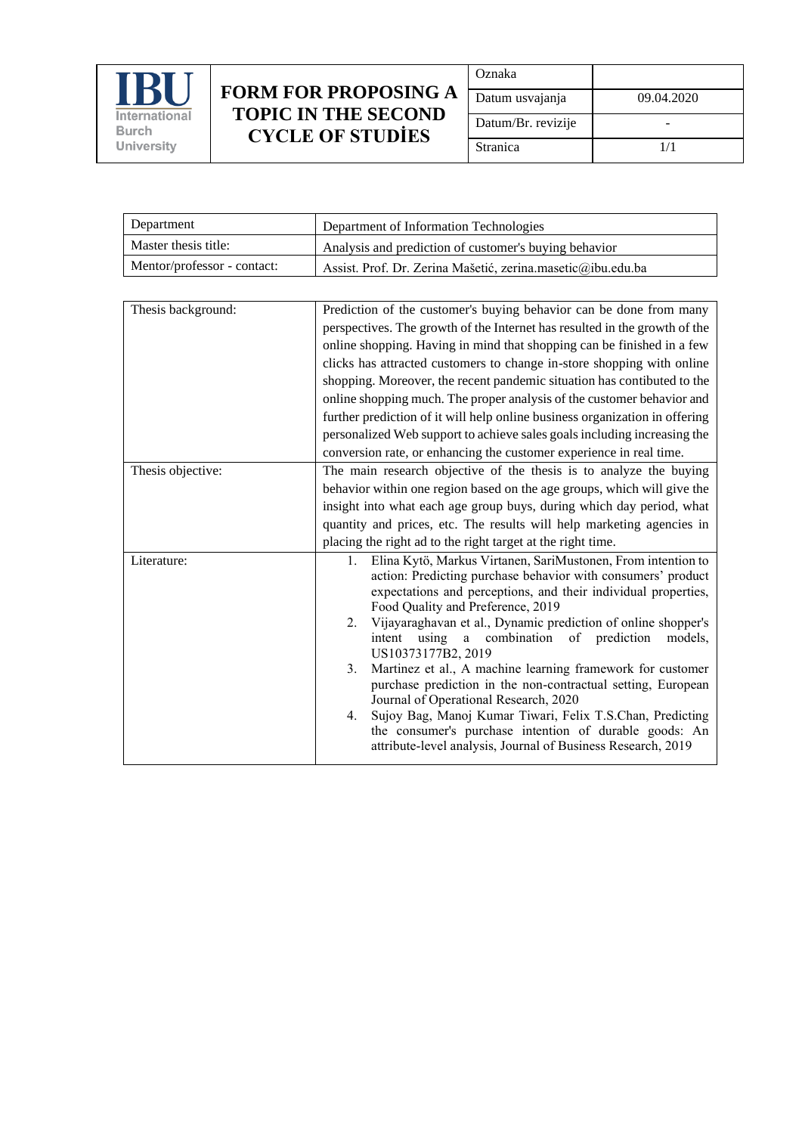

| Oznaka             |            |
|--------------------|------------|
| Datum usvajanja    | 09.04.2020 |
| Datum/Br. revizije |            |
| Stranica           | 1/1        |

| Department                  | Department of Information Technologies                      |
|-----------------------------|-------------------------------------------------------------|
| Master thesis title:        | Analysis and prediction of customer's buying behavior       |
| Mentor/professor - contact: | Assist. Prof. Dr. Zerina Mašetić, zerina.masetic@ibu.edu.ba |

| Prediction of the customer's buying behavior can be done from many                                                                                                                                                                                                                                                                                                                                                                                                                                                                                                                                                                                                                                                                                                               |
|----------------------------------------------------------------------------------------------------------------------------------------------------------------------------------------------------------------------------------------------------------------------------------------------------------------------------------------------------------------------------------------------------------------------------------------------------------------------------------------------------------------------------------------------------------------------------------------------------------------------------------------------------------------------------------------------------------------------------------------------------------------------------------|
| perspectives. The growth of the Internet has resulted in the growth of the                                                                                                                                                                                                                                                                                                                                                                                                                                                                                                                                                                                                                                                                                                       |
| online shopping. Having in mind that shopping can be finished in a few                                                                                                                                                                                                                                                                                                                                                                                                                                                                                                                                                                                                                                                                                                           |
| clicks has attracted customers to change in-store shopping with online                                                                                                                                                                                                                                                                                                                                                                                                                                                                                                                                                                                                                                                                                                           |
| shopping. Moreover, the recent pandemic situation has contibuted to the                                                                                                                                                                                                                                                                                                                                                                                                                                                                                                                                                                                                                                                                                                          |
| online shopping much. The proper analysis of the customer behavior and                                                                                                                                                                                                                                                                                                                                                                                                                                                                                                                                                                                                                                                                                                           |
| further prediction of it will help online business organization in offering                                                                                                                                                                                                                                                                                                                                                                                                                                                                                                                                                                                                                                                                                                      |
| personalized Web support to achieve sales goals including increasing the                                                                                                                                                                                                                                                                                                                                                                                                                                                                                                                                                                                                                                                                                                         |
| conversion rate, or enhancing the customer experience in real time.                                                                                                                                                                                                                                                                                                                                                                                                                                                                                                                                                                                                                                                                                                              |
| The main research objective of the thesis is to analyze the buying                                                                                                                                                                                                                                                                                                                                                                                                                                                                                                                                                                                                                                                                                                               |
| behavior within one region based on the age groups, which will give the                                                                                                                                                                                                                                                                                                                                                                                                                                                                                                                                                                                                                                                                                                          |
| insight into what each age group buys, during which day period, what                                                                                                                                                                                                                                                                                                                                                                                                                                                                                                                                                                                                                                                                                                             |
| quantity and prices, etc. The results will help marketing agencies in                                                                                                                                                                                                                                                                                                                                                                                                                                                                                                                                                                                                                                                                                                            |
| placing the right ad to the right target at the right time.                                                                                                                                                                                                                                                                                                                                                                                                                                                                                                                                                                                                                                                                                                                      |
| Elina Kytö, Markus Virtanen, SariMustonen, From intention to<br>1.<br>action: Predicting purchase behavior with consumers' product<br>expectations and perceptions, and their individual properties,<br>Food Quality and Preference, 2019<br>Vijayaraghavan et al., Dynamic prediction of online shopper's<br>2.<br>a combination<br>intent<br>using<br>of prediction<br>models,<br>US10373177B2, 2019<br>Martinez et al., A machine learning framework for customer<br>3.<br>purchase prediction in the non-contractual setting, European<br>Journal of Operational Research, 2020<br>Sujoy Bag, Manoj Kumar Tiwari, Felix T.S.Chan, Predicting<br>4.<br>the consumer's purchase intention of durable goods: An<br>attribute-level analysis, Journal of Business Research, 2019 |
|                                                                                                                                                                                                                                                                                                                                                                                                                                                                                                                                                                                                                                                                                                                                                                                  |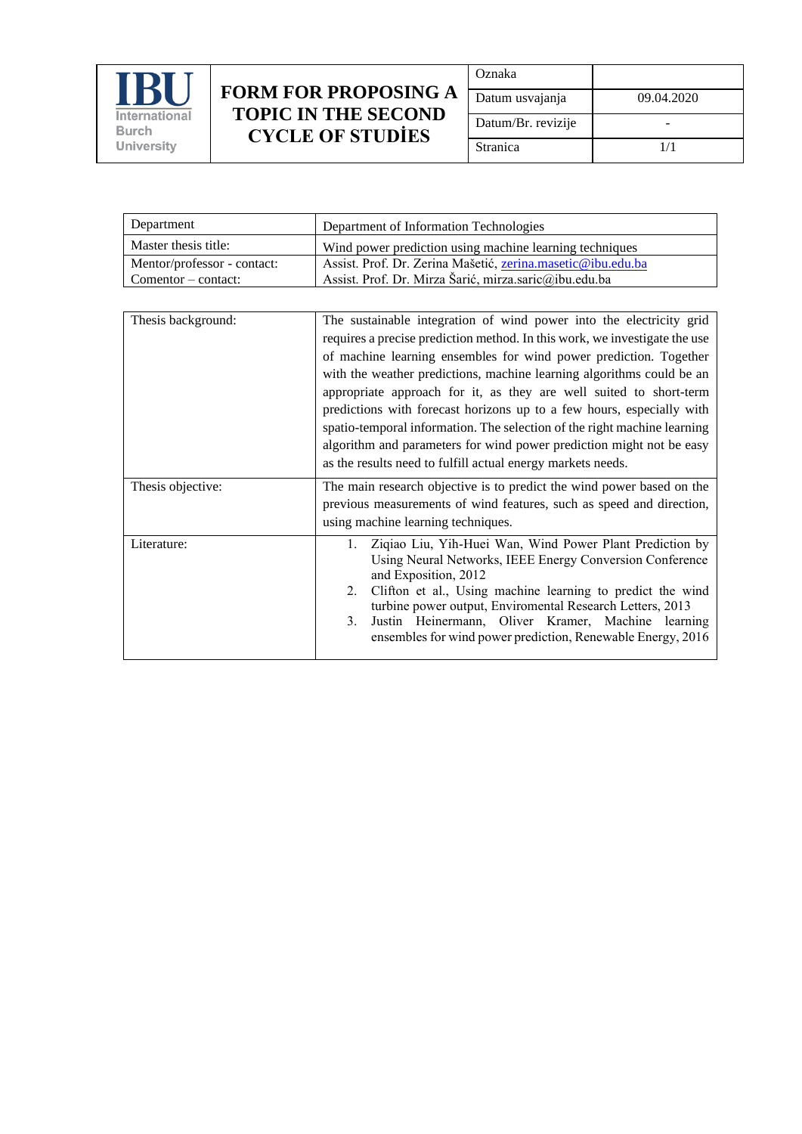

| Oznaka             |            |
|--------------------|------------|
| Datum usvajanja    | 09.04.2020 |
| Datum/Br. revizije |            |
| Stranica           | 1/1        |

| Department                  | Department of Information Technologies                      |
|-----------------------------|-------------------------------------------------------------|
| Master thesis title:        | Wind power prediction using machine learning techniques     |
| Mentor/professor - contact: | Assist. Prof. Dr. Zerina Mašetić, zerina.masetic@ibu.edu.ba |
| $Commentor - contact:$      | Assist. Prof. Dr. Mirza Šarić, mirza.saric@ibu.edu.ba       |

| Thesis background: | The sustainable integration of wind power into the electricity grid                                                                          |
|--------------------|----------------------------------------------------------------------------------------------------------------------------------------------|
|                    | requires a precise prediction method. In this work, we investigate the use                                                                   |
|                    | of machine learning ensembles for wind power prediction. Together                                                                            |
|                    | with the weather predictions, machine learning algorithms could be an                                                                        |
|                    | appropriate approach for it, as they are well suited to short-term                                                                           |
|                    | predictions with forecast horizons up to a few hours, especially with                                                                        |
|                    | spatio-temporal information. The selection of the right machine learning                                                                     |
|                    | algorithm and parameters for wind power prediction might not be easy                                                                         |
|                    | as the results need to fulfill actual energy markets needs.                                                                                  |
|                    |                                                                                                                                              |
| Thesis objective:  | The main research objective is to predict the wind power based on the                                                                        |
|                    | previous measurements of wind features, such as speed and direction,                                                                         |
|                    | using machine learning techniques.                                                                                                           |
| Literature:        | Ziqiao Liu, Yih-Huei Wan, Wind Power Plant Prediction by<br>Using Neural Networks, IEEE Energy Conversion Conference<br>and Exposition, 2012 |
|                    | Clifton et al., Using machine learning to predict the wind<br>2.<br>turbine power output, Enviromental Research Letters, 2013                |
|                    | Justin Heinermann, Oliver Kramer, Machine learning<br>3.                                                                                     |
|                    | ensembles for wind power prediction, Renewable Energy, 2016                                                                                  |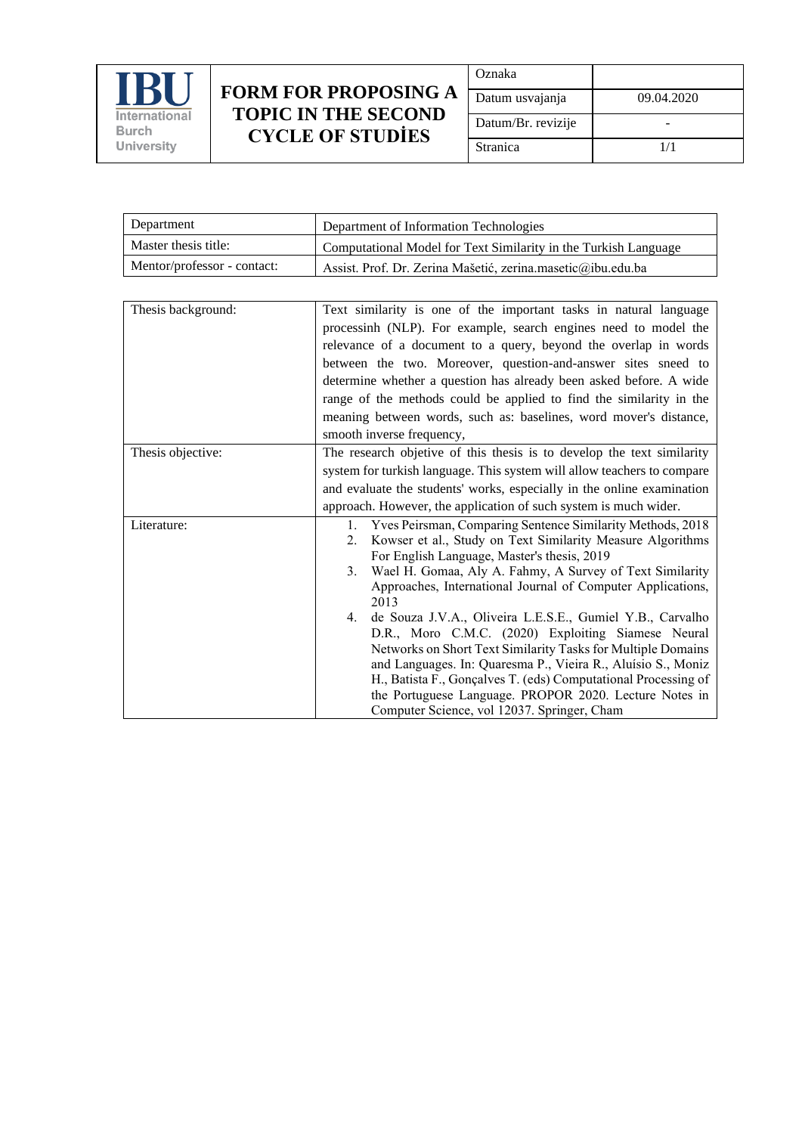

| Oznaka             |            |
|--------------------|------------|
| Datum usvajanja    | 09.04.2020 |
| Datum/Br. revizije |            |
| Stranica           | 1/1        |

| Department                  | Department of Information Technologies                          |
|-----------------------------|-----------------------------------------------------------------|
| Master thesis title:        | Computational Model for Text Similarity in the Turkish Language |
| Mentor/professor - contact: | Assist. Prof. Dr. Zerina Mašetić, zerina.masetic@ibu.edu.ba     |

| Thesis background: | Text similarity is one of the important tasks in natural language          |
|--------------------|----------------------------------------------------------------------------|
|                    | processinh (NLP). For example, search engines need to model the            |
|                    | relevance of a document to a query, beyond the overlap in words            |
|                    | between the two. Moreover, question-and-answer sites sneed to              |
|                    | determine whether a question has already been asked before. A wide         |
|                    | range of the methods could be applied to find the similarity in the        |
|                    | meaning between words, such as: baselines, word mover's distance,          |
|                    | smooth inverse frequency,                                                  |
|                    |                                                                            |
| Thesis objective:  | The research objetive of this thesis is to develop the text similarity     |
|                    | system for turkish language. This system will allow teachers to compare    |
|                    | and evaluate the students' works, especially in the online examination     |
|                    | approach. However, the application of such system is much wider.           |
| Literature:        | Yves Peirsman, Comparing Sentence Similarity Methods, 2018<br>$\mathbf{L}$ |
|                    | Kowser et al., Study on Text Similarity Measure Algorithms<br>2.           |
|                    | For English Language, Master's thesis, 2019                                |
|                    | Wael H. Gomaa, Aly A. Fahmy, A Survey of Text Similarity<br>3.             |
|                    | Approaches, International Journal of Computer Applications,                |
|                    | 2013                                                                       |
|                    | de Souza J.V.A., Oliveira L.E.S.E., Gumiel Y.B., Carvalho<br>4.            |
|                    | D.R., Moro C.M.C. (2020) Exploiting Siamese Neural                         |
|                    | Networks on Short Text Similarity Tasks for Multiple Domains               |
|                    | and Languages. In: Quaresma P., Vieira R., Aluísio S., Moniz               |
|                    | H., Batista F., Gonçalves T. (eds) Computational Processing of             |
|                    | the Portuguese Language. PROPOR 2020. Lecture Notes in                     |
|                    | Computer Science, vol 12037. Springer, Cham                                |